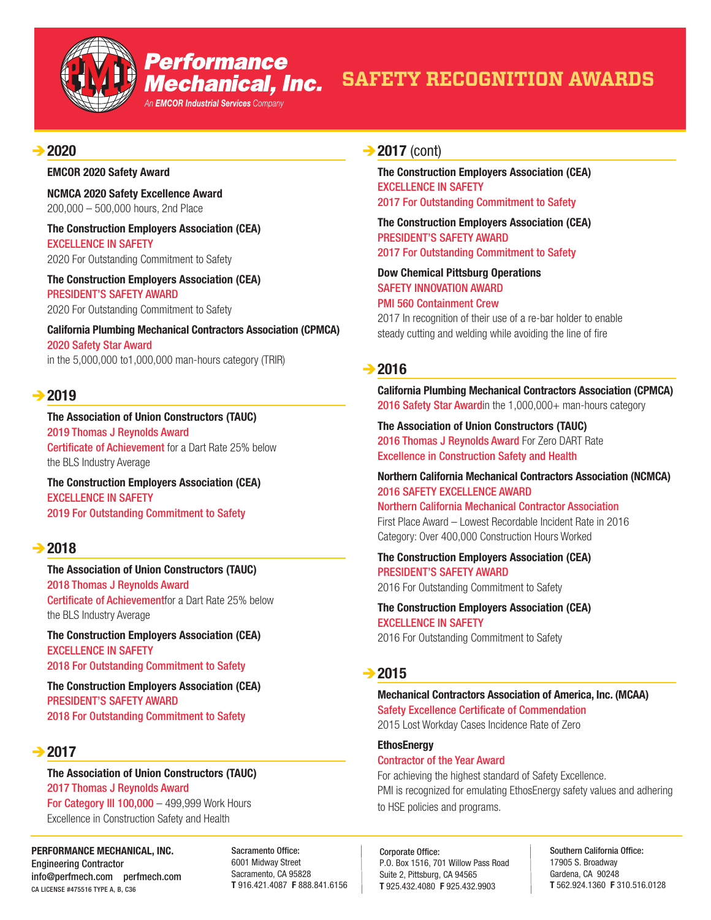

## **Performance** Mechanical, Inc.

An **EMCOR Industrial Services** Company

# **SAFETY RECOGNITION AWARDS**

## Î**2020**

#### **EMCOR 2020 Safety Award**

**NCMCA 2020 Safety Excellence Award** 200,000 – 500,000 hours, 2nd Place

**The Construction Employers Association (CEA)** EXCELLENCE IN SAFETY 2020 For Outstanding Commitment to Safety

**The Construction Employers Association (CEA)** PRESIDENT'S SAFETY AWARD 2020 For Outstanding Commitment to Safety

**California Plumbing Mechanical Contractors Association (CPMCA)** 2020 Safety Star Award in the 5,000,000 to1,000,000 man-hours category (TRIR)

## $→$ **2019**

**The Association of Union Constructors (TAUC)** 2019 Thomas J Reynolds Award Certificate of Achievement for a Dart Rate 25% below the BLS Industry Average

**The Construction Employers Association (CEA)** EXCELLENCE IN SAFETY 2019 For Outstanding Commitment to Safety

## $\rightarrow$  2018

**The Association of Union Constructors (TAUC)** 2018 Thomas J Reynolds Award Certificate of Achievementfor a Dart Rate 25% below the BLS Industry Average

**The Construction Employers Association (CEA)** EXCELLENCE IN SAFETY 2018 For Outstanding Commitment to Safety

**The Construction Employers Association (CEA)** PRESIDENT'S SAFETY AWARD 2018 For Outstanding Commitment to Safety

## **→ 2017**

**The Association of Union Constructors (TAUC)** 2017 Thomas J Reynolds Award **For Category III 100,000 - 499,999 Work Hours** Excellence in Construction Safety and Health

**PERFORMANCE MECHANICAL, INC.** Engineering Contractor info@perfmech.com perfmech.com CA LICENSE #475516 TYPE A, B, C36

Sacramento Office: 6001 Midway Street Sacramento, CA 95828 **T** 916.421.4087 **F** 888.841.6156

## **→ 2017** (cont)

**The Construction Employers Association (CEA)** EXCELLENCE IN SAFETY 2017 For Outstanding Commitment to Safety

**The Construction Employers Association (CEA)** PRESIDENT'S SAFETY AWARD 2017 For Outstanding Commitment to Safety

**Dow Chemical Pittsburg Operations** SAFETY INNOVATION AWARD PMI 560 Containment Crew

2017 In recognition of their use of a re-bar holder to enable steady cutting and welding while avoiding the line of fire

## **→ 2016**

**California Plumbing Mechanical Contractors Association (CPMCA)** 2016 Safety Star Awardin the 1,000,000+ man-hours category

**The Association of Union Constructors (TAUC)** 2016 Thomas J Reynolds Award For Zero DART Rate Excellence in Construction Safety and Health

#### **Northern California Mechanical Contractors Association (NCMCA)** 2016 SAFETY EXCELLENCE AWARD

Northern California Mechanical Contractor Association First Place Award – Lowest Recordable Incident Rate in 2016 Category: Over 400,000 Construction Hours Worked

**The Construction Employers Association (CEA)** PRESIDENT'S SAFETY AWARD 2016 For Outstanding Commitment to Safety

**The Construction Employers Association (CEA)** EXCELLENCE IN SAFETY 2016 For Outstanding Commitment to Safety

## **→ 2015**

## **Mechanical Contractors Association of America, Inc. (MCAA)** Safety Excellence Certificate of Commendation

2015 Lost Workday Cases Incidence Rate of Zero

#### **EthosEnergy**

Contractor of the Year Award For achieving the highest standard of Safety Excellence. PMI is recognized for emulating EthosEnergy safety values and adhering to HSE policies and programs.

Corporate Office: P.O. Box 1516, 701 Willow Pass Road Suite 2, Pittsburg, CA 94565 **T** 925.432.4080 **F** 925.432.9903

Southern California Office: 17905 S. Broadway Gardena, CA 90248 **T** 562.924.1360 **F** 310.516.0128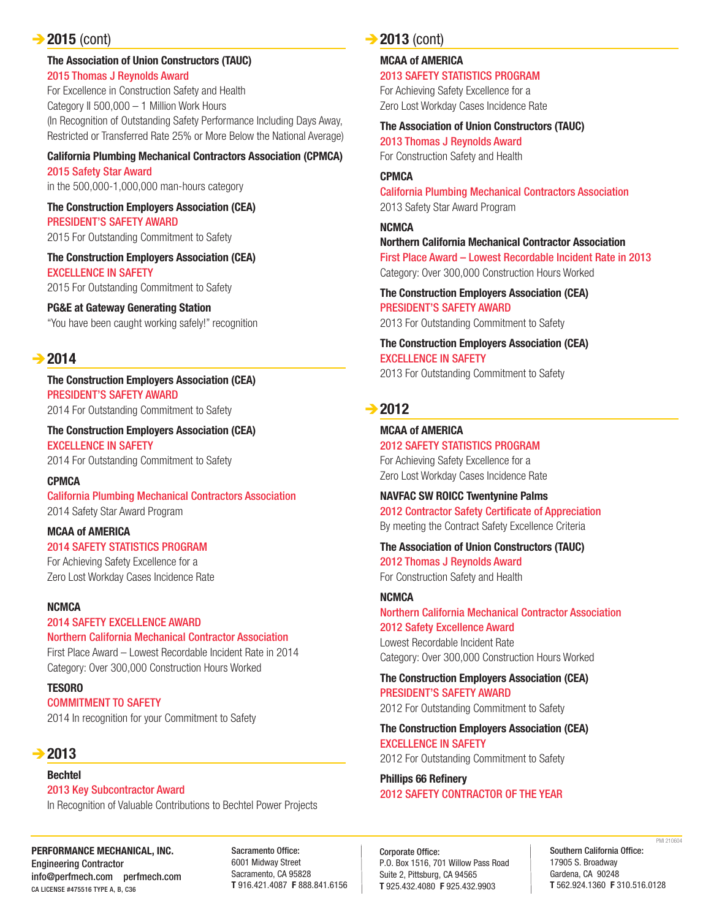## **→ 2015** (cont)

#### **The Association of Union Constructors (TAUC)** 2015 Thomas J Reynolds Award

For Excellence in Construction Safety and Health Category II 500,000 – 1 Million Work Hours (In Recognition of Outstanding Safety Performance Including Days Away, Restricted or Transferred Rate 25% or More Below the National Average)

#### **California Plumbing Mechanical Contractors Association (CPMCA)**

2015 Safety Star Award in the 500,000-1,000,000 man-hours category

**The Construction Employers Association (CEA)** PRESIDENT'S SAFETY AWARD

2015 For Outstanding Commitment to Safety

**The Construction Employers Association (CEA)** EXCELLENCE IN SAFETY 2015 For Outstanding Commitment to Safety

## **PG&E at Gateway Generating Station**

"You have been caught working safely!" recognition

## $→$ **2014**

**The Construction Employers Association (CEA)** PRESIDENT'S SAFETY AWARD 2014 For Outstanding Commitment to Safety

**The Construction Employers Association (CEA)** EXCELLENCE IN SAFETY

2014 For Outstanding Commitment to Safety

**CPMCA** California Plumbing Mechanical Contractors Association 2014 Safety Star Award Program

## **MCAA of AMERICA**

2014 SAFETY STATISTICS PROGRAM

For Achieving Safety Excellence for a Zero Lost Workday Cases Incidence Rate

## **NCMCA**

2014 SAFETY EXCELLENCE AWARD Northern California Mechanical Contractor Association

First Place Award – Lowest Recordable Incident Rate in 2014 Category: Over 300,000 Construction Hours Worked

**TESORO**

COMMITMENT TO SAFETY 2014 In recognition for your Commitment to Safety

## $→$ **2013**

#### **Bechtel**

2013 Key Subcontractor Award In Recognition of Valuable Contributions to Bechtel Power Projects

**PERFORMANCE MECHANICAL, INC.** Engineering Contractor info@perfmech.com perfmech.com CA LICENSE #475516 TYPE A, B, C36

Sacramento Office: 6001 Midway Street Sacramento, CA 95828 **T** 916.421.4087 **F** 888.841.6156

## **→ 2013** (cont)

**MCAA of AMERICA**

2013 SAFETY STATISTICS PROGRAM

For Achieving Safety Excellence for a Zero Lost Workday Cases Incidence Rate

#### **The Association of Union Constructors (TAUC)**

2013 Thomas J Reynolds Award For Construction Safety and Health

#### **CPMCA**

California Plumbing Mechanical Contractors Association 2013 Safety Star Award Program

**NCMCA Northern California Mechanical Contractor Association** First Place Award – Lowest Recordable Incident Rate in 2013 Category: Over 300,000 Construction Hours Worked

**The Construction Employers Association (CEA)** PRESIDENT'S SAFETY AWARD 2013 For Outstanding Commitment to Safety

**The Construction Employers Association (CEA)** EXCELLENCE IN SAFETY 2013 For Outstanding Commitment to Safety

## **→ 2012**

#### **MCAA of AMERICA** 2012 SAFETY STATISTICS PROGRAM

For Achieving Safety Excellence for a Zero Lost Workday Cases Incidence Rate

**NAVFAC SW ROICC Twentynine Palms** 2012 Contractor Safety Certificate of Appreciation By meeting the Contract Safety Excellence Criteria

**The Association of Union Constructors (TAUC)** 2012 Thomas J Reynolds Award

For Construction Safety and Health

## **NCMCA**

Northern California Mechanical Contractor Association 2012 Safety Excellence Award Lowest Recordable Incident Rate Category: Over 300,000 Construction Hours Worked

**The Construction Employers Association (CEA)** PRESIDENT'S SAFETY AWARD

2012 For Outstanding Commitment to Safety

## **The Construction Employers Association (CEA)** EXCELLENCE IN SAFETY

2012 For Outstanding Commitment to Safety

#### **Phillips 66 Refinery** 2012 SAFETY CONTRACTOR OF THE YEAR

Corporate Office: P.O. Box 1516, 701 Willow Pass Road Suite 2, Pittsburg, CA 94565 **T** 925.432.4080 **F** 925.432.9903

Southern California Office: 17905 S. Broadway Gardena, CA 90248 **T** 562.924.1360 **F** 310.516.0128 PMI 210604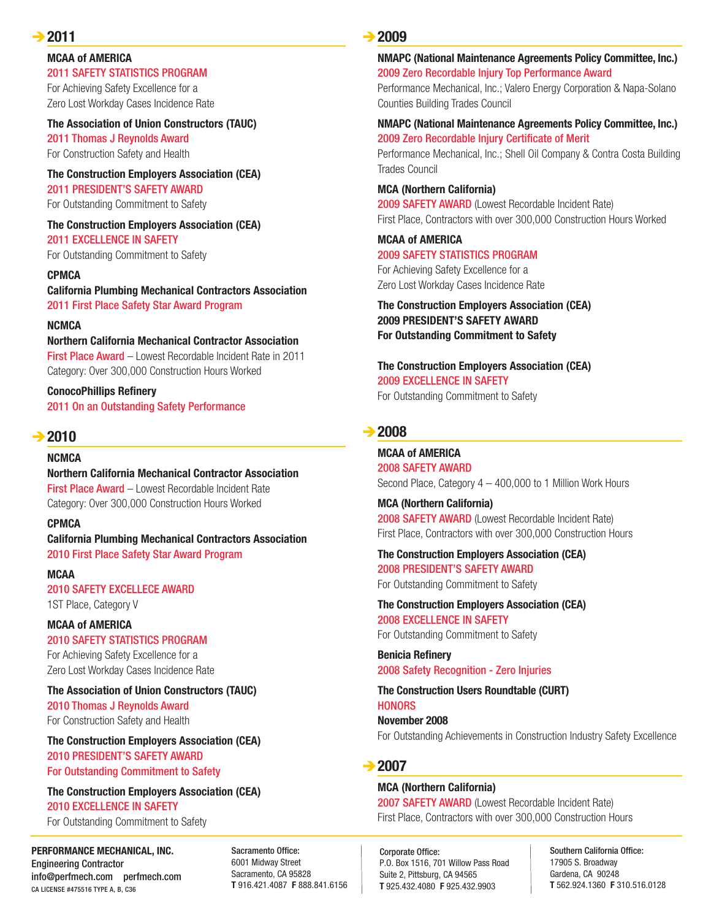## **→ 2011**

#### **MCAA of AMERICA**

#### 2011 SAFETY STATISTICS PROGRAM

For Achieving Safety Excellence for a Zero Lost Workday Cases Incidence Rate

## **The Association of Union Constructors (TAUC)**

2011 Thomas J Reynolds Award For Construction Safety and Health

**The Construction Employers Association (CEA)** 2011 PRESIDENT'S SAFETY AWARD

For Outstanding Commitment to Safety

**The Construction Employers Association (CEA)** 2011 EXCELLENCE IN SAFETY For Outstanding Commitment to Safety

**CPMCA**

**California Plumbing Mechanical Contractors Association** 2011 First Place Safety Star Award Program

#### **NCMCA**

#### **Northern California Mechanical Contractor Association**

First Place Award – Lowest Recordable Incident Rate in 2011 Category: Over 300,000 Construction Hours Worked

**ConocoPhillips Refinery** 2011 On an Outstanding Safety Performance

## **→ 2010**

#### **NCMCA Northern California Mechanical Contractor Association** First Place Award – Lowest Recordable Incident Rate Category: Over 300,000 Construction Hours Worked

**CPMCA**

**California Plumbing Mechanical Contractors Association** 2010 First Place Safety Star Award Program

**MCAA** 2010 SAFETY EXCELLECE AWARD 1ST Place, Category V

## **MCAA of AMERICA**

#### 2010 SAFETY STATISTICS PROGRAM

For Achieving Safety Excellence for a Zero Lost Workday Cases Incidence Rate

**The Association of Union Constructors (TAUC)**

2010 Thomas J Reynolds Award For Construction Safety and Health

**The Construction Employers Association (CEA)** 2010 PRESIDENT'S SAFETY AWARD For Outstanding Commitment to Safety

**The Construction Employers Association (CEA)** 2010 EXCELLENCE IN SAFETY For Outstanding Commitment to Safety

**PERFORMANCE MECHANICAL, INC.** Engineering Contractor info@perfmech.com perfmech.com CA LICENSE #475516 TYPE A, B, C36

Sacramento Office: 6001 Midway Street Sacramento, CA 95828 **T** 916.421.4087 **F** 888.841.6156

## Î**2009**

## **NMAPC (National Maintenance Agreements Policy Committee, Inc.)**

2009 Zero Recordable Injury Top Performance Award Performance Mechanical, Inc.; Valero Energy Corporation & Napa-Solano Counties Building Trades Council

#### **NMAPC (National Maintenance Agreements Policy Committee, Inc.)** 2009 Zero Recordable Injury Certificate of Merit

Performance Mechanical, Inc.; Shell Oil Company & Contra Costa Building Trades Council

#### **MCA (Northern California)**

2009 SAFETY AWARD (Lowest Recordable Incident Rate) First Place, Contractors with over 300,000 Construction Hours Worked

## **MCAA of AMERICA** 2009 SAFETY STATISTICS PROGRAM

For Achieving Safety Excellence for a Zero Lost Workday Cases Incidence Rate

**The Construction Employers Association (CEA) 2009 PRESIDENT'S SAFETY AWARD For Outstanding Commitment to Safety**

**The Construction Employers Association (CEA)** 2009 EXCELLENCE IN SAFETY

For Outstanding Commitment to Safety

## **→ 2008**

## **MCAA of AMERICA**

2008 SAFETY AWARD Second Place, Category 4 – 400,000 to 1 Million Work Hours

**MCA (Northern California)** 2008 SAFETY AWARD (Lowest Recordable Incident Rate) First Place, Contractors with over 300,000 Construction Hours

**The Construction Employers Association (CEA)** 2008 PRESIDENT'S SAFETY AWARD For Outstanding Commitment to Safety

**The Construction Employers Association (CEA)** 2008 EXCELLENCE IN SAFETY For Outstanding Commitment to Safety

**Benicia Refinery** 2008 Safety Recognition - Zero Injuries

**The Construction Users Roundtable (CURT) HONORS November 2008** For Outstanding Achievements in Construction Industry Safety Excellence

## **→ 2007**

#### **MCA (Northern California)**

2007 SAFETY AWARD (Lowest Recordable Incident Rate) First Place, Contractors with over 300,000 Construction Hours

Corporate Office: P.O. Box 1516, 701 Willow Pass Road Suite 2, Pittsburg, CA 94565 **T** 925.432.4080 **F** 925.432.9903

Southern California Office: 17905 S. Broadway Gardena, CA 90248 **T** 562.924.1360 **F** 310.516.0128